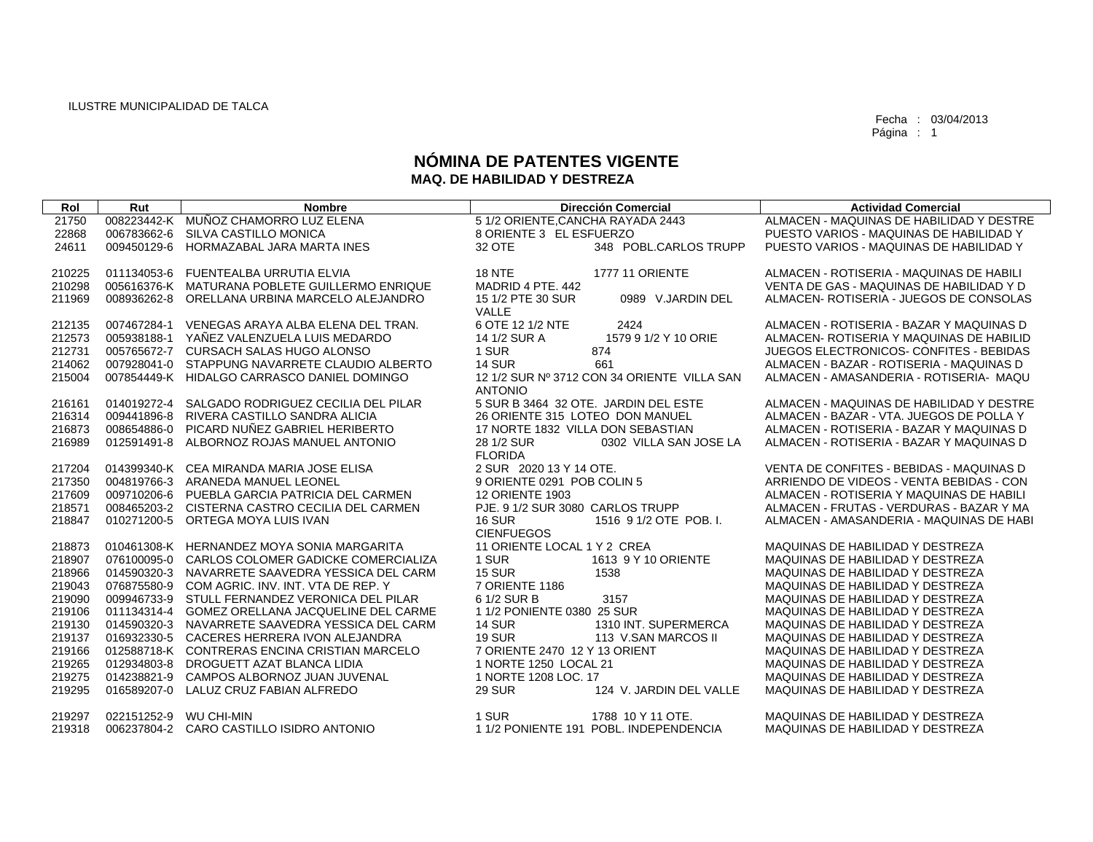Fecha : 03/04/2013 Página : 1

## **NÓMINA DE PATENTES VIGENTE MAQ. DE HABILIDAD Y DESTREZA**

| Rol    | Rut         | <b>Nombre</b>                                   | <b>Dirección Comercial</b>                                    | <b>Actividad Comercial</b>                     |
|--------|-------------|-------------------------------------------------|---------------------------------------------------------------|------------------------------------------------|
| 21750  |             | 008223442-K MUÑOZ CHAMORRO LUZ ELENA            | 5 1/2 ORIENTE.CANCHA RAYADA 2443                              | ALMACEN - MAQUINAS DE HABILIDAD Y DESTRE       |
| 22868  | 006783662-6 | SILVA CASTILLO MONICA                           | 8 ORIENTE 3 EL ESFUERZO                                       | PUESTO VARIOS - MAQUINAS DE HABILIDAD Y        |
| 24611  | 009450129-6 | HORMAZABAL JARA MARTA INES                      | 348 POBL.CARLOS TRUPP<br>32 OTE                               | PUESTO VARIOS - MAQUINAS DE HABILIDAD Y        |
|        |             |                                                 |                                                               |                                                |
| 210225 | 011134053-6 | FUENTEALBA URRUTIA ELVIA                        | <b>18 NTE</b><br><b>1777 11 ORIENTE</b>                       | ALMACEN - ROTISERIA - MAQUINAS DE HABILI       |
| 210298 |             | 005616376-K MATURANA POBLETE GUILLERMO ENRIQUE  | MADRID 4 PTE, 442                                             | VENTA DE GAS - MAQUINAS DE HABILIDAD Y D       |
| 211969 | 008936262-8 | ORELLANA URBINA MARCELO ALEJANDRO               | 15 1/2 PTE 30 SUR<br>0989 V.JARDIN DEL<br>VALLE               | ALMACEN- ROTISERIA - JUEGOS DE CONSOLAS        |
| 212135 | 007467284-1 | VENEGAS ARAYA ALBA ELENA DEL TRAN.              | 6 OTE 12 1/2 NTE<br>2424                                      | ALMACEN - ROTISERIA - BAZAR Y MAQUINAS D       |
| 212573 | 005938188-1 | YAÑEZ VALENZUELA LUIS MEDARDO                   | 1579 9 1/2 Y 10 ORIE<br>14 1/2 SUR A                          | ALMACEN- ROTISERIA Y MAQUINAS DE HABILID       |
| 212731 |             | 005765672-7 CURSACH SALAS HUGO ALONSO           | 1 SUR<br>874                                                  | <b>JUEGOS ELECTRONICOS- CONFITES - BEBIDAS</b> |
| 214062 |             | 007928041-0 STAPPUNG NAVARRETE CLAUDIO ALBERTO  | <b>14 SUR</b><br>661                                          | ALMACEN - BAZAR - ROTISERIA - MAQUINAS D       |
| 215004 |             | 007854449-K HIDALGO CARRASCO DANIEL DOMINGO     | 12 1/2 SUR Nº 3712 CON 34 ORIENTE VILLA SAN<br><b>ANTONIO</b> | ALMACEN - AMASANDERIA - ROTISERIA- MAQU        |
| 216161 | 014019272-4 | SALGADO RODRIGUEZ CECILIA DEL PILAR             | 5 SUR B 3464 32 OTE. JARDIN DEL ESTE                          | ALMACEN - MAQUINAS DE HABILIDAD Y DESTRE       |
| 216314 | 009441896-8 | RIVERA CASTILLO SANDRA ALICIA                   | 26 ORIENTE 315 LOTEO DON MANUEL                               | ALMACEN - BAZAR - VTA, JUEGOS DE POLLA Y       |
| 216873 | 008654886-0 | PICARD NUÑEZ GABRIEL HERIBERTO                  | 17 NORTE 1832 VILLA DON SEBASTIAN                             | ALMACEN - ROTISERIA - BAZAR Y MAQUINAS D       |
| 216989 | 012591491-8 | ALBORNOZ ROJAS MANUEL ANTONIO                   | 28 1/2 SUR<br>0302 VILLA SAN JOSE LA                          | ALMACEN - ROTISERIA - BAZAR Y MAQUINAS D       |
|        |             |                                                 | <b>FLORIDA</b>                                                |                                                |
| 217204 |             | 014399340-K CEA MIRANDA MARIA JOSE ELISA        | 2 SUR 2020 13 Y 14 OTE.                                       | VENTA DE CONFITES - BEBIDAS - MAQUINAS D       |
| 217350 |             | 004819766-3 ARANEDA MANUEL LEONEL               | 9 ORIENTE 0291 POB COLIN 5                                    | ARRIENDO DE VIDEOS - VENTA BEBIDAS - CON       |
| 217609 | 009710206-6 | PUEBLA GARCIA PATRICIA DEL CARMEN               | <b>12 ORIENTE 1903</b>                                        | ALMACEN - ROTISERIA Y MAQUINAS DE HABILI       |
| 218571 |             | 008465203-2 CISTERNA CASTRO CECILIA DEL CARMEN  | PJE. 9 1/2 SUR 3080 CARLOS TRUPP                              | ALMACEN - FRUTAS - VERDURAS - BAZAR Y MA       |
| 218847 | 010271200-5 | ORTEGA MOYA LUIS IVAN                           | <b>16 SUR</b><br>1516 9 1/2 OTE POB. I.                       | ALMACEN - AMASANDERIA - MAQUINAS DE HABI       |
|        |             |                                                 | <b>CIENFUEGOS</b>                                             |                                                |
| 218873 |             | 010461308-K HERNANDEZ MOYA SONIA MARGARITA      | 11 ORIENTE LOCAL 1 Y 2 CREA                                   | MAQUINAS DE HABILIDAD Y DESTREZA               |
| 218907 |             | 076100095-0 CARLOS COLOMER GADICKE COMERCIALIZA | 1 SUR<br>1613 9 Y 10 ORIENTE                                  | MAQUINAS DE HABILIDAD Y DESTREZA               |
| 218966 |             | 014590320-3 NAVARRETE SAAVEDRA YESSICA DEL CARM | <b>15 SUR</b><br>1538                                         | MAQUINAS DE HABILIDAD Y DESTREZA               |
| 219043 | 076875580-9 | COM AGRIC. INV. INT. VTA DE REP. Y              | 7 ORIENTE 1186                                                | MAQUINAS DE HABILIDAD Y DESTREZA               |
| 219090 | 009946733-9 | STULL FERNANDEZ VERONICA DEL PILAR              | 6 1/2 SUR B<br>3157                                           | MAQUINAS DE HABILIDAD Y DESTREZA               |
| 219106 | 011134314-4 | <b>GOMEZ ORELLANA JACQUELINE DEL CARME</b>      | 1 1/2 PONIENTE 0380 25 SUR                                    | MAQUINAS DE HABILIDAD Y DESTREZA               |
| 219130 |             | 014590320-3 NAVARRETE SAAVEDRA YESSICA DEL CARM | <b>14 SUR</b><br>1310 INT. SUPERMERCA                         | MAQUINAS DE HABILIDAD Y DESTREZA               |
| 219137 |             | 016932330-5 CACERES HERRERA IVON ALEJANDRA      | <b>19 SUR</b><br>113 V.SAN MARCOS II                          | MAQUINAS DE HABILIDAD Y DESTREZA               |
| 219166 |             | 012588718-K CONTRERAS ENCINA CRISTIAN MARCELO   | 7 ORIENTE 2470 12 Y 13 ORIENT                                 | MAQUINAS DE HABILIDAD Y DESTREZA               |
| 219265 | 012934803-8 | DROGUETT AZAT BLANCA LIDIA                      | 1 NORTE 1250 LOCAL 21                                         | MAQUINAS DE HABILIDAD Y DESTREZA               |
| 219275 | 014238821-9 | CAMPOS ALBORNOZ JUAN JUVENAL                    | 1 NORTE 1208 LOC, 17                                          | MAQUINAS DE HABILIDAD Y DESTREZA               |
| 219295 | 016589207-0 | LALUZ CRUZ FABIAN ALFREDO                       | <b>29 SUR</b><br>124 V. JARDIN DEL VALLE                      | MAQUINAS DE HABILIDAD Y DESTREZA               |
| 219297 | 022151252-9 | <b>WU CHI-MIN</b>                               | 1 SUR<br>1788 10 Y 11 OTE.                                    | MAQUINAS DE HABILIDAD Y DESTREZA               |
| 219318 |             | 006237804-2 CARO CASTILLO ISIDRO ANTONIO        | 1 1/2 PONIENTE 191 POBL. INDEPENDENCIA                        | MAQUINAS DE HABILIDAD Y DESTREZA               |
|        |             |                                                 |                                                               |                                                |